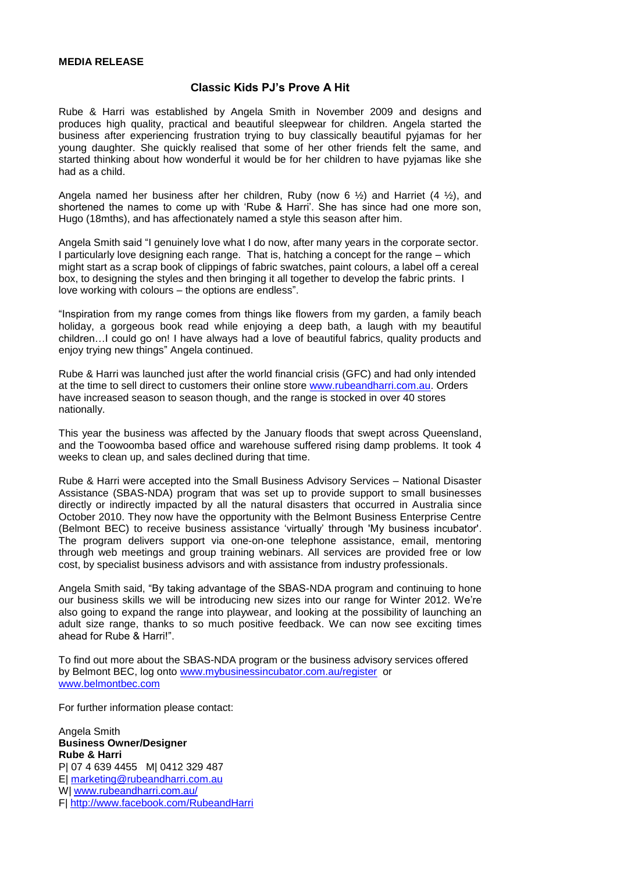## **Classic Kids PJ's Prove A Hit**

Rube & Harri was established by Angela Smith in November 2009 and designs and produces high quality, practical and beautiful sleepwear for children. Angela started the business after experiencing frustration trying to buy classically beautiful pyjamas for her young daughter. She quickly realised that some of her other friends felt the same, and started thinking about how wonderful it would be for her children to have pyjamas like she had as a child.

Angela named her business after her children, Ruby (now 6  $\frac{1}{2}$ ) and Harriet (4  $\frac{1}{2}$ ), and shortened the names to come up with 'Rube & Harri'. She has since had one more son, Hugo (18mths), and has affectionately named a style this season after him.

Angela Smith said "I genuinely love what I do now, after many years in the corporate sector. I particularly love designing each range. That is, hatching a concept for the range – which might start as a scrap book of clippings of fabric swatches, paint colours, a label off a cereal box, to designing the styles and then bringing it all together to develop the fabric prints. I love working with colours – the options are endless".

"Inspiration from my range comes from things like flowers from my garden, a family beach holiday, a gorgeous book read while enjoying a deep bath, a laugh with my beautiful children…I could go on! I have always had a love of beautiful fabrics, quality products and enjoy trying new things" Angela continued.

Rube & Harri was launched just after the world financial crisis (GFC) and had only intended at the time to sell direct to customers their online store [www.rubeandharri.com.au.](http://www.rubeandharri.com.au/) Orders have increased season to season though, and the range is stocked in over 40 stores nationally.

This year the business was affected by the January floods that swept across Queensland, and the Toowoomba based office and warehouse suffered rising damp problems. It took 4 weeks to clean up, and sales declined during that time.

Rube & Harri were accepted into the Small Business Advisory Services – National Disaster Assistance (SBAS-NDA) program that was set up to provide support to small businesses directly or indirectly impacted by all the natural disasters that occurred in Australia since October 2010. They now have the opportunity with the Belmont Business Enterprise Centre (Belmont BEC) to receive business assistance "virtually" through 'My business incubator'. The program delivers support via one-on-one telephone assistance, email, mentoring through web meetings and group training webinars. All services are provided free or low cost, by specialist business advisors and with assistance from industry professionals.

Angela Smith said, "By taking advantage of the SBAS-NDA program and continuing to hone our business skills we will be introducing new sizes into our range for Winter 2012. We"re also going to expand the range into playwear, and looking at the possibility of launching an adult size range, thanks to so much positive feedback. We can now see exciting times ahead for Rube & Harri!".

To find out more about the SBAS-NDA program or the business advisory services offered by Belmont BEC, log onto [www.mybusinessincubator.com.au/register](http://www.mybusinessincubator.com.au/register) or [www.belmontbec.com](http://www.belmontbec.com/)

For further information please contact:

Angela Smith **Business Owner/Designer Rube & Harri** P| 07 4 639 4455 M| 0412 329 487 E| [marketing@rubeandharri.com.au](mailto:marketing@rubeandharri.com.au) W[| www.rubeandharri.com.au/](http://www.rubeandharri.com.au/) F|<http://www.facebook.com/RubeandHarri>